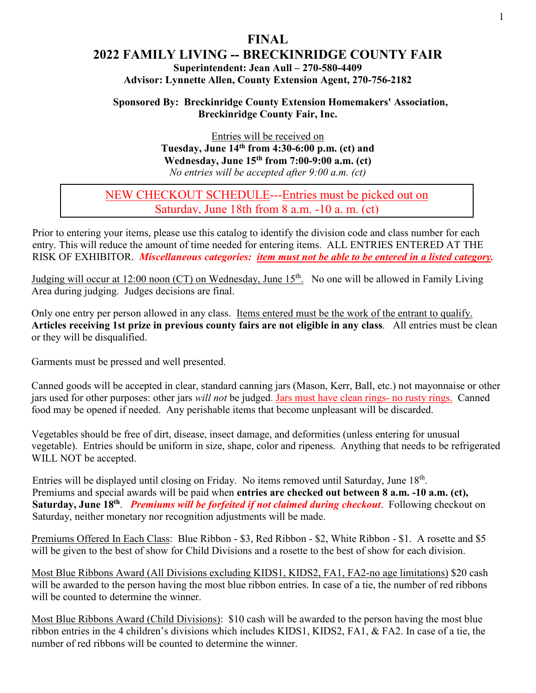### **FINAL 2022 FAMILY LIVING -- BRECKINRIDGE COUNTY FAIR Superintendent: Jean Aull – 270-580-4409 Advisor: Lynnette Allen, County Extension Agent, 270-756-2182**

#### **Sponsored By: Breckinridge County Extension Homemakers' Association, Breckinridge County Fair, Inc.**

Entries will be received on **Tuesday, June 14th from 4:30-6:00 p.m. (ct) and Wednesday, June 15th from 7:00-9:00 a.m. (ct)**  *No entries will be accepted after 9:00 a.m. (ct)*

### NEW CHECKOUT SCHEDULE---Entries must be picked out on Saturday, June 18th from 8 a.m. -10 a. m. (ct)

Prior to entering your items, please use this catalog to identify the division code and class number for each entry. This will reduce the amount of time needed for entering items. ALL ENTRIES ENTERED AT THE RISK OF EXHIBITOR. *Miscellaneous categories: item must not be able to be entered in a listed category.* 

Judging will occur at 12:00 noon (CT) on Wednesday, June 15<sup>th</sup>. No one will be allowed in Family Living Area during judging. Judges decisions are final.

Only one entry per person allowed in any class. Items entered must be the work of the entrant to qualify. **Articles receiving 1st prize in previous county fairs are not eligible in any class**. All entries must be clean or they will be disqualified.

Garments must be pressed and well presented.

Canned goods will be accepted in clear, standard canning jars (Mason, Kerr, Ball, etc.) not mayonnaise or other jars used for other purposes: other jars *will not* be judged. Jars must have clean rings- no rusty rings. Canned food may be opened if needed. Any perishable items that become unpleasant will be discarded.

Vegetables should be free of dirt, disease, insect damage, and deformities (unless entering for unusual vegetable). Entries should be uniform in size, shape, color and ripeness. Anything that needs to be refrigerated WILL NOT be accepted.

Entries will be displayed until closing on Friday. No items removed until Saturday, June 18<sup>th</sup>. Premiums and special awards will be paid when **entries are checked out between 8 a.m. -10 a.m. (ct),**  Saturday, June 18<sup>th</sup>. *Premiums will be forfeited if not claimed during checkout*. Following checkout on Saturday, neither monetary nor recognition adjustments will be made.

Premiums Offered In Each Class: Blue Ribbon - \$3, Red Ribbon - \$2, White Ribbon - \$1. A rosette and \$5 will be given to the best of show for Child Divisions and a rosette to the best of show for each division.

Most Blue Ribbons Award (All Divisions excluding KIDS1, KIDS2, FA1, FA2-no age limitations) \$20 cash will be awarded to the person having the most blue ribbon entries. In case of a tie, the number of red ribbons will be counted to determine the winner.

Most Blue Ribbons Award (Child Divisions): \$10 cash will be awarded to the person having the most blue ribbon entries in the 4 children's divisions which includes KIDS1, KIDS2, FA1, & FA2. In case of a tie, the number of red ribbons will be counted to determine the winner.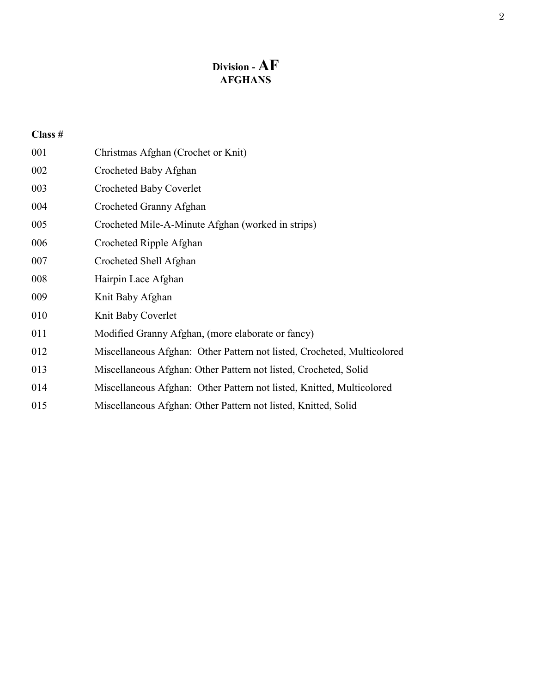# **Division - AF AFGHANS**

| 001 | Christmas Afghan (Crochet or Knit)                                      |
|-----|-------------------------------------------------------------------------|
| 002 | Crocheted Baby Afghan                                                   |
| 003 | Crocheted Baby Coverlet                                                 |
| 004 | Crocheted Granny Afghan                                                 |
| 005 | Crocheted Mile-A-Minute Afghan (worked in strips)                       |
| 006 | Crocheted Ripple Afghan                                                 |
| 007 | Crocheted Shell Afghan                                                  |
| 008 | Hairpin Lace Afghan                                                     |
| 009 | Knit Baby Afghan                                                        |
| 010 | Knit Baby Coverlet                                                      |
| 011 | Modified Granny Afghan, (more elaborate or fancy)                       |
| 012 | Miscellaneous Afghan: Other Pattern not listed, Crocheted, Multicolored |
| 013 | Miscellaneous Afghan: Other Pattern not listed, Crocheted, Solid        |
| 014 | Miscellaneous Afghan: Other Pattern not listed, Knitted, Multicolored   |
| 015 | Miscellaneous Afghan: Other Pattern not listed, Knitted, Solid          |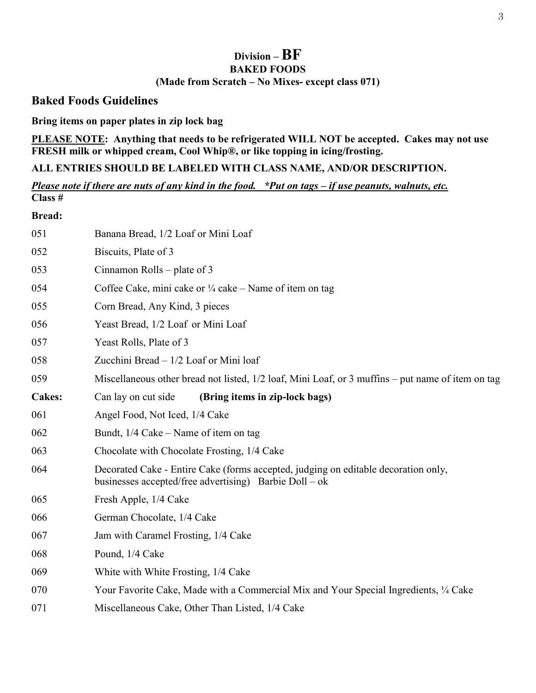# **Division – BF BAKED FOODS (Made from Scratch – No Mixes- except class 071)**

#### **Baked Foods Guidelines**

**Bring items on paper plates in zip lock bag** 

**PLEASE NOTE: Anything that needs to be refrigerated WILL NOT be accepted. Cakes may not use FRESH milk or whipped cream, Cool Whip®, or like topping in icing/frosting.**

**ALL ENTRIES SHOULD BE LABELED WITH CLASS NAME, AND/OR DESCRIPTION.** 

*Please note if there are nuts of any kind in the food. \*Put on tags – if use peanuts, walnuts, etc.*  **Class #**

**Bread:** 

| 051           | Banana Bread, 1/2 Loaf or Mini Loaf                                                                                                          |
|---------------|----------------------------------------------------------------------------------------------------------------------------------------------|
| 052           | Biscuits, Plate of 3                                                                                                                         |
| 053           | Cinnamon Rolls – plate of 3                                                                                                                  |
| 054           | Coffee Cake, mini cake or 1/4 cake – Name of item on tag                                                                                     |
| 055           | Corn Bread, Any Kind, 3 pieces                                                                                                               |
| 056           | Yeast Bread, 1/2 Loaf or Mini Loaf                                                                                                           |
| 057           | Yeast Rolls, Plate of 3                                                                                                                      |
| 058           | Zucchini Bread - 1/2 Loaf or Mini loaf                                                                                                       |
| 059           | Miscellaneous other bread not listed, 1/2 loaf, Mini Loaf, or 3 muffins – put name of item on tag                                            |
| <b>Cakes:</b> | Can lay on cut side<br>(Bring items in zip-lock bags)                                                                                        |
| 061           | Angel Food, Not Iced, 1/4 Cake                                                                                                               |
| 062           | Bundt, $1/4$ Cake – Name of item on tag                                                                                                      |
| 063           | Chocolate with Chocolate Frosting, 1/4 Cake                                                                                                  |
| 064           | Decorated Cake - Entire Cake (forms accepted, judging on editable decoration only,<br>businesses accepted/free advertising) Barbie Doll – ok |
| 065           | Fresh Apple, 1/4 Cake                                                                                                                        |
| 066           | German Chocolate, 1/4 Cake                                                                                                                   |
| 067           | Jam with Caramel Frosting, 1/4 Cake                                                                                                          |
| 068           | Pound, 1/4 Cake                                                                                                                              |
| 069           | White with White Frosting, 1/4 Cake                                                                                                          |
| 070           | Your Favorite Cake, Made with a Commercial Mix and Your Special Ingredients, 1/4 Cake                                                        |
| 071           | Miscellaneous Cake, Other Than Listed, 1/4 Cake                                                                                              |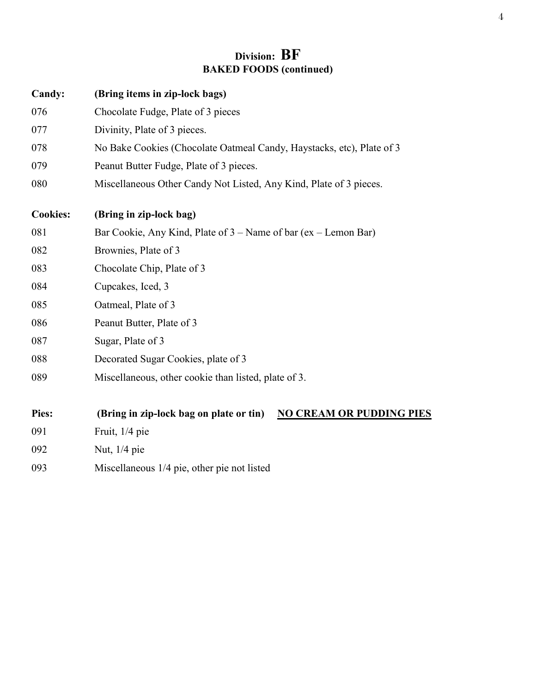# **Division: BF BAKED FOODS (continued)**

| Candy:          | (Bring items in zip-lock bags)                                             |
|-----------------|----------------------------------------------------------------------------|
| 076             | Chocolate Fudge, Plate of 3 pieces                                         |
| 077             | Divinity, Plate of 3 pieces.                                               |
| 078             | No Bake Cookies (Chocolate Oatmeal Candy, Haystacks, etc), Plate of 3      |
| 079             | Peanut Butter Fudge, Plate of 3 pieces.                                    |
| 080             | Miscellaneous Other Candy Not Listed, Any Kind, Plate of 3 pieces.         |
| <b>Cookies:</b> | (Bring in zip-lock bag)                                                    |
| 081             | Bar Cookie, Any Kind, Plate of $3$ – Name of bar (ex – Lemon Bar)          |
| 082             | Brownies, Plate of 3                                                       |
| 083             | Chocolate Chip, Plate of 3                                                 |
| 084             | Cupcakes, Iced, 3                                                          |
| 085             | Oatmeal, Plate of 3                                                        |
| 086             | Peanut Butter, Plate of 3                                                  |
| 087             | Sugar, Plate of 3                                                          |
| 088             | Decorated Sugar Cookies, plate of 3                                        |
| 089             | Miscellaneous, other cookie than listed, plate of 3.                       |
| Pies:           | (Bring in zip-lock bag on plate or tin)<br><b>NO CREAM OR PUDDING PIES</b> |
| 091             | Fruit, 1/4 pie                                                             |
| 092             | Nut, 1/4 pie                                                               |
| 093             | Miscellaneous 1/4 pie, other pie not listed                                |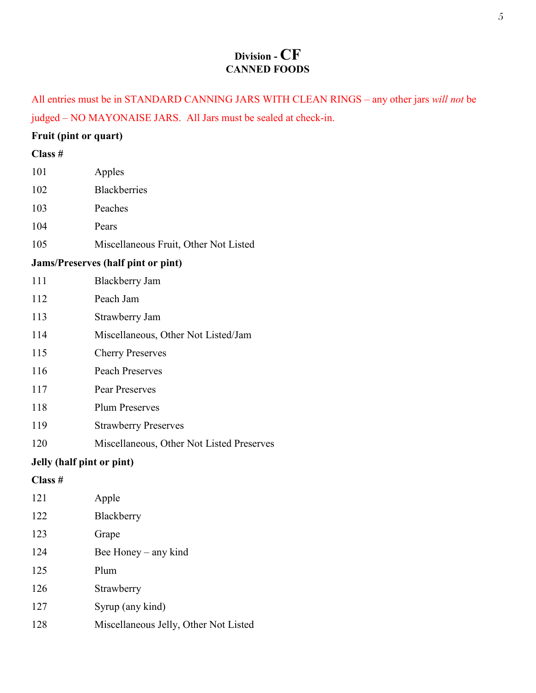# **Division - CF CANNED FOODS**

All entries must be in STANDARD CANNING JARS WITH CLEAN RINGS – any other jars *will not* be judged – NO MAYONAISE JARS. All Jars must be sealed at check-in.

#### **Fruit (pint or quart)**

| 101     | Apples                                    |
|---------|-------------------------------------------|
| 102     | <b>Blackberries</b>                       |
| 103     | Peaches                                   |
| 104     | Pears                                     |
| 105     | Miscellaneous Fruit, Other Not Listed     |
|         | <b>Jams/Preserves (half pint or pint)</b> |
| 111     | <b>Blackberry Jam</b>                     |
| 112     | Peach Jam                                 |
| 113     | Strawberry Jam                            |
| 114     | Miscellaneous, Other Not Listed/Jam       |
| 115     | <b>Cherry Preserves</b>                   |
| 116     | <b>Peach Preserves</b>                    |
| 117     | <b>Pear Preserves</b>                     |
| 118     | <b>Plum Preserves</b>                     |
| 119     | <b>Strawberry Preserves</b>               |
| 120     | Miscellaneous, Other Not Listed Preserves |
|         | Jelly (half pint or pint)                 |
| Class # |                                           |
| 121     | Apple                                     |
| 122     | Blackberry                                |
| 123     | Grape                                     |
| 124     | Bee Honey – any kind                      |
| 125     | Plum                                      |
| 126     | Strawberry                                |
| 127     | Syrup (any kind)                          |
| 128     | Miscellaneous Jelly, Other Not Listed     |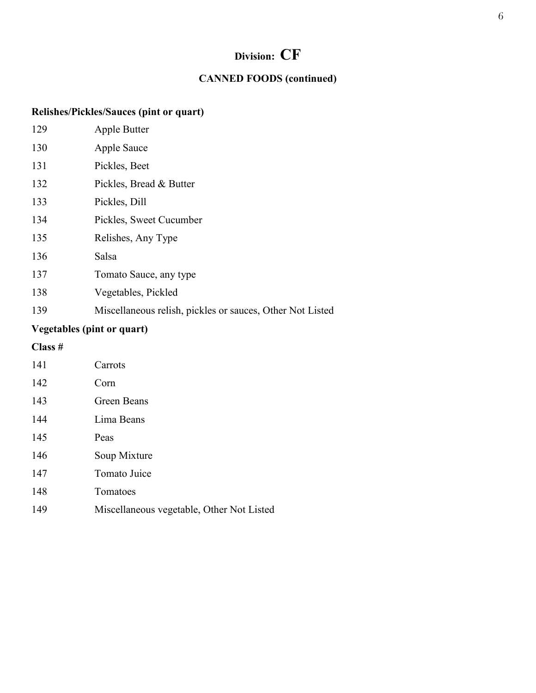# **Division: CF**

### **CANNED FOODS (continued)**

### **Relishes/Pickles/Sauces (pint or quart)**

| 129 | Apple Butter                                              |
|-----|-----------------------------------------------------------|
| 130 | Apple Sauce                                               |
| 131 | Pickles, Beet                                             |
| 132 | Pickles, Bread & Butter                                   |
| 133 | Pickles, Dill                                             |
| 134 | Pickles, Sweet Cucumber                                   |
| 135 | Relishes, Any Type                                        |
| 136 | Salsa                                                     |
| 137 | Tomato Sauce, any type                                    |
| 138 | Vegetables, Pickled                                       |
| 139 | Miscellaneous relish, pickles or sauces, Other Not Listed |
|     |                                                           |

# **Vegetables (pint or quart)**

| 141 | Carrots                                   |
|-----|-------------------------------------------|
| 142 | Corn                                      |
| 143 | Green Beans                               |
| 144 | Lima Beans                                |
| 145 | Peas                                      |
| 146 | Soup Mixture                              |
| 147 | Tomato Juice                              |
| 148 | Tomatoes                                  |
| 149 | Miscellaneous vegetable, Other Not Listed |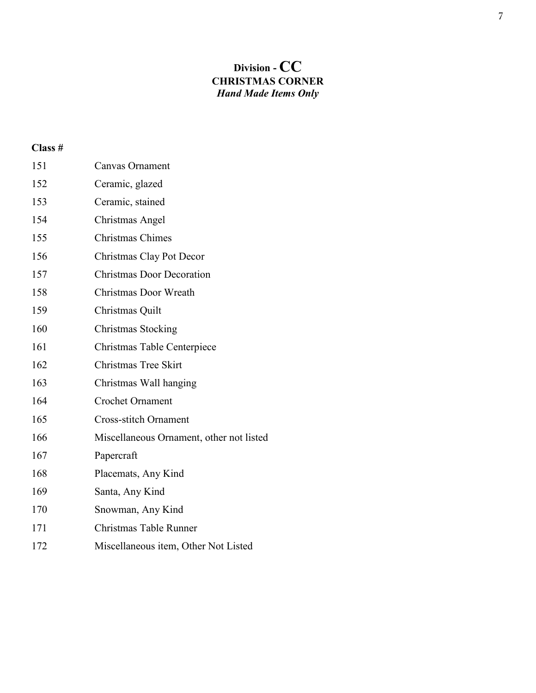# **Division - CC CHRISTMAS CORNER** *Hand Made Items Only*

| 151 | <b>Canvas Ornament</b>                   |
|-----|------------------------------------------|
| 152 | Ceramic, glazed                          |
| 153 | Ceramic, stained                         |
| 154 | Christmas Angel                          |
| 155 | <b>Christmas Chimes</b>                  |
| 156 | Christmas Clay Pot Decor                 |
| 157 | <b>Christmas Door Decoration</b>         |
| 158 | Christmas Door Wreath                    |
| 159 | Christmas Quilt                          |
| 160 | <b>Christmas Stocking</b>                |
| 161 | Christmas Table Centerpiece              |
| 162 | Christmas Tree Skirt                     |
| 163 | Christmas Wall hanging                   |
| 164 | <b>Crochet Ornament</b>                  |
| 165 | <b>Cross-stitch Ornament</b>             |
| 166 | Miscellaneous Ornament, other not listed |
| 167 | Papercraft                               |
| 168 | Placemats, Any Kind                      |
| 169 | Santa, Any Kind                          |
| 170 | Snowman, Any Kind                        |
| 171 | Christmas Table Runner                   |
| 172 | Miscellaneous item, Other Not Listed     |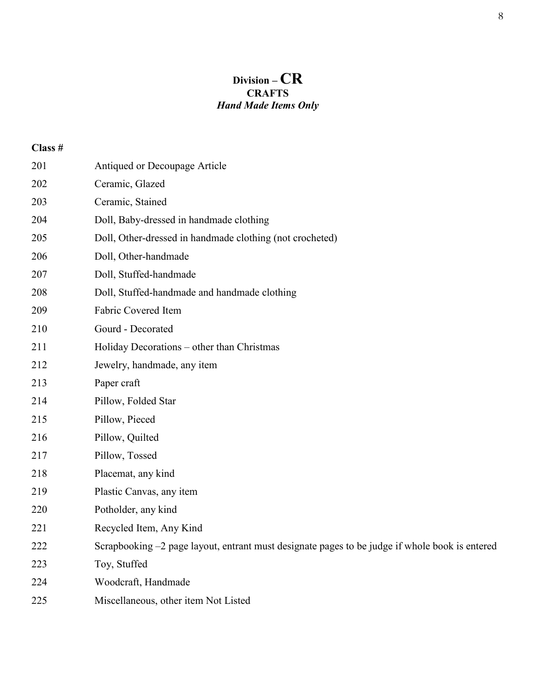# **Division – CR CRAFTS** *Hand Made Items Only*

| 201 | Antiqued or Decoupage Article                                                                  |
|-----|------------------------------------------------------------------------------------------------|
| 202 | Ceramic, Glazed                                                                                |
| 203 | Ceramic, Stained                                                                               |
| 204 | Doll, Baby-dressed in handmade clothing                                                        |
| 205 | Doll, Other-dressed in handmade clothing (not crocheted)                                       |
| 206 | Doll, Other-handmade                                                                           |
| 207 | Doll, Stuffed-handmade                                                                         |
| 208 | Doll, Stuffed-handmade and handmade clothing                                                   |
| 209 | Fabric Covered Item                                                                            |
| 210 | Gourd - Decorated                                                                              |
| 211 | Holiday Decorations - other than Christmas                                                     |
| 212 | Jewelry, handmade, any item                                                                    |
| 213 | Paper craft                                                                                    |
| 214 | Pillow, Folded Star                                                                            |
| 215 | Pillow, Pieced                                                                                 |
| 216 | Pillow, Quilted                                                                                |
| 217 | Pillow, Tossed                                                                                 |
| 218 | Placemat, any kind                                                                             |
| 219 | Plastic Canvas, any item                                                                       |
| 220 | Potholder, any kind                                                                            |
| 221 | Recycled Item, Any Kind                                                                        |
| 222 | Scrapbooking -2 page layout, entrant must designate pages to be judge if whole book is entered |
| 223 | Toy, Stuffed                                                                                   |
| 224 | Woodcraft, Handmade                                                                            |
| 225 | Miscellaneous, other item Not Listed                                                           |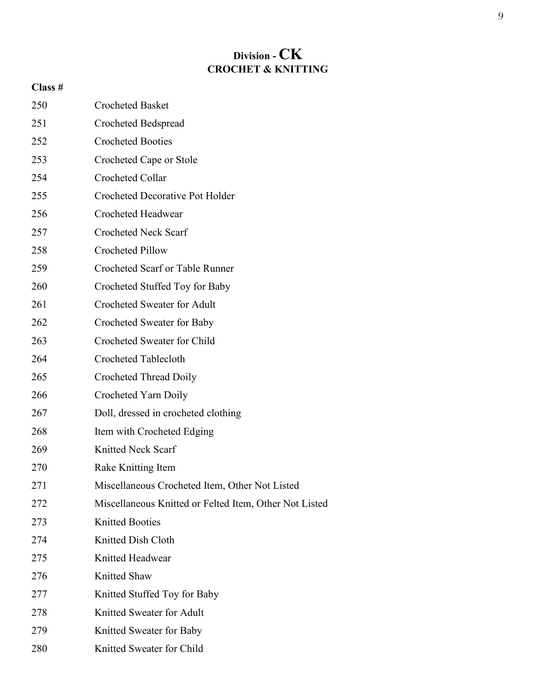# **Division - CK CROCHET & KNITTING**

| 250 | <b>Crocheted Basket</b>                                |
|-----|--------------------------------------------------------|
| 251 | Crocheted Bedspread                                    |
| 252 | <b>Crocheted Booties</b>                               |
| 253 | Crocheted Cape or Stole                                |
| 254 | Crocheted Collar                                       |
| 255 | <b>Crocheted Decorative Pot Holder</b>                 |
| 256 | <b>Crocheted Headwear</b>                              |
| 257 | <b>Crocheted Neck Scarf</b>                            |
| 258 | <b>Crocheted Pillow</b>                                |
| 259 | <b>Crocheted Scarf or Table Runner</b>                 |
| 260 | Crocheted Stuffed Toy for Baby                         |
| 261 | <b>Crocheted Sweater for Adult</b>                     |
| 262 | Crocheted Sweater for Baby                             |
| 263 | Crocheted Sweater for Child                            |
| 264 | Crocheted Tablecloth                                   |
| 265 | <b>Crocheted Thread Doily</b>                          |
| 266 | Crocheted Yarn Doily                                   |
| 267 | Doll, dressed in crocheted clothing                    |
| 268 | Item with Crocheted Edging                             |
| 269 | <b>Knitted Neck Scarf</b>                              |
| 270 | Rake Knitting Item                                     |
| 271 | Miscellaneous Crocheted Item, Other Not Listed         |
| 272 | Miscellaneous Knitted or Felted Item, Other Not Listed |
| 273 | <b>Knitted Booties</b>                                 |
| 274 | Knitted Dish Cloth                                     |
| 275 | Knitted Headwear                                       |
| 276 | Knitted Shaw                                           |
| 277 | Knitted Stuffed Toy for Baby                           |
| 278 | Knitted Sweater for Adult                              |
| 279 | Knitted Sweater for Baby                               |
| 280 | Knitted Sweater for Child                              |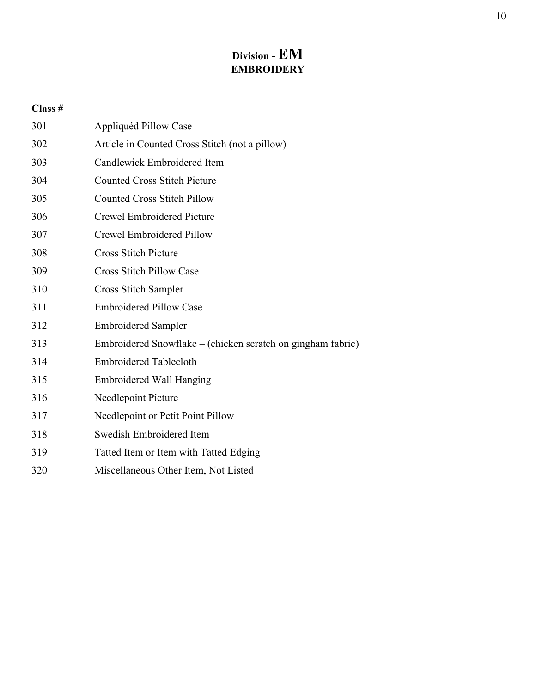# **Division -EM EMBROIDERY**

| 301 | Appliquéd Pillow Case                                       |
|-----|-------------------------------------------------------------|
| 302 | Article in Counted Cross Stitch (not a pillow)              |
| 303 | Candlewick Embroidered Item                                 |
| 304 | <b>Counted Cross Stitch Picture</b>                         |
| 305 | <b>Counted Cross Stitch Pillow</b>                          |
| 306 | <b>Crewel Embroidered Picture</b>                           |
| 307 | Crewel Embroidered Pillow                                   |
| 308 | <b>Cross Stitch Picture</b>                                 |
| 309 | <b>Cross Stitch Pillow Case</b>                             |
| 310 | Cross Stitch Sampler                                        |
| 311 | <b>Embroidered Pillow Case</b>                              |
| 312 | <b>Embroidered Sampler</b>                                  |
| 313 | Embroidered Snowflake – (chicken scratch on gingham fabric) |
| 314 | <b>Embroidered Tablecloth</b>                               |
| 315 | <b>Embroidered Wall Hanging</b>                             |
| 316 | Needlepoint Picture                                         |
| 317 | Needlepoint or Petit Point Pillow                           |
| 318 | Swedish Embroidered Item                                    |
| 319 | Tatted Item or Item with Tatted Edging                      |
| 320 | Miscellaneous Other Item, Not Listed                        |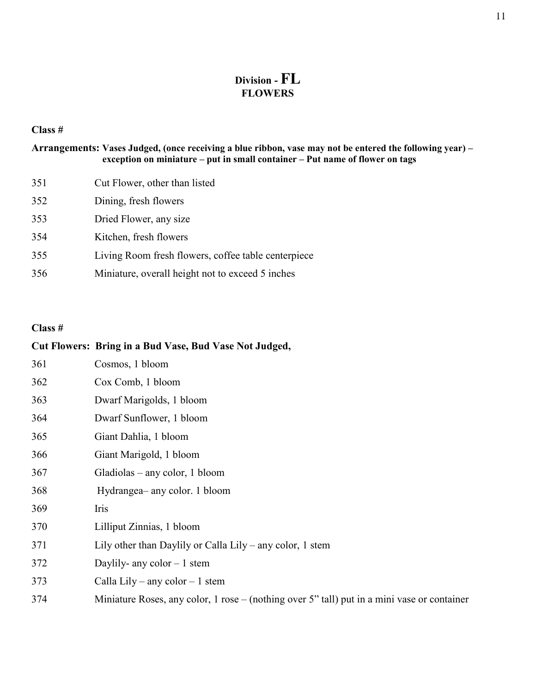# **Division - FL FLOWERS**

#### **Class #**

#### **Arrangements: Vases Judged, (once receiving a blue ribbon, vase may not be entered the following year) – exception on miniature – put in small container – Put name of flower on tags**

| 351 | Cut Flower, other than listed                       |
|-----|-----------------------------------------------------|
| 352 | Dining, fresh flowers                               |
| 353 | Dried Flower, any size                              |
| 354 | Kitchen, fresh flowers                              |
| 355 | Living Room fresh flowers, coffee table centerpiece |
| 356 | Miniature, overall height not to exceed 5 inches    |

|     | Cut Flowers: Bring in a Bud Vase, Bud Vase Not Judged,                                      |
|-----|---------------------------------------------------------------------------------------------|
| 361 | Cosmos, 1 bloom                                                                             |
| 362 | Cox Comb, 1 bloom                                                                           |
| 363 | Dwarf Marigolds, 1 bloom                                                                    |
| 364 | Dwarf Sunflower, 1 bloom                                                                    |
| 365 | Giant Dahlia, 1 bloom                                                                       |
| 366 | Giant Marigold, 1 bloom                                                                     |
| 367 | Gladiolas – any color, 1 bloom                                                              |
| 368 | Hydrangea– any color. 1 bloom                                                               |
| 369 | Iris                                                                                        |
| 370 | Lilliput Zinnias, 1 bloom                                                                   |
| 371 | Lily other than Daylily or Calla Lily – any color, 1 stem                                   |
| 372 | Daylily- any color $-1$ stem                                                                |
| 373 | Calla Lily – any color – 1 stem                                                             |
| 374 | Miniature Roses, any color, 1 rose – (nothing over 5" tall) put in a mini vase or container |
|     |                                                                                             |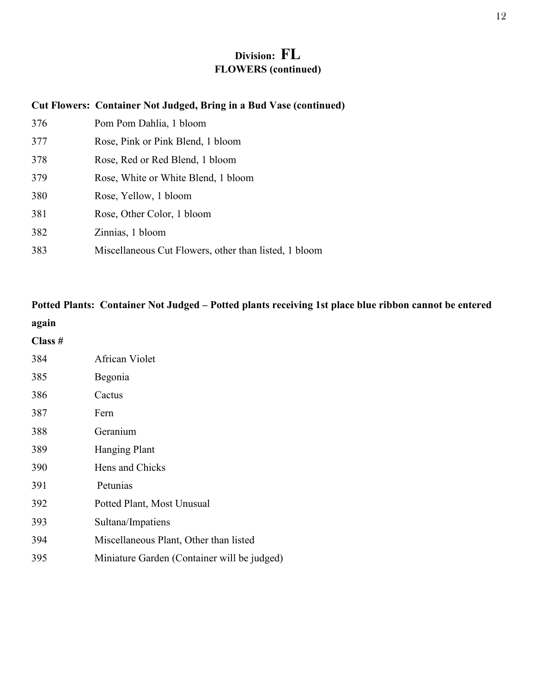# **Division: FL FLOWERS (continued)**

#### **Cut Flowers: Container Not Judged, Bring in a Bud Vase (continued)**

| 376 | Pom Pom Dahlia, 1 bloom                               |
|-----|-------------------------------------------------------|
| 377 | Rose, Pink or Pink Blend, 1 bloom                     |
| 378 | Rose, Red or Red Blend, 1 bloom                       |
| 379 | Rose, White or White Blend, 1 bloom                   |
| 380 | Rose, Yellow, 1 bloom                                 |
| 381 | Rose, Other Color, 1 bloom                            |
| 382 | Zinnias, 1 bloom                                      |
| 383 | Miscellaneous Cut Flowers, other than listed, 1 bloom |

# **Potted Plants: Container Not Judged – Potted plants receiving 1st place blue ribbon cannot be entered again**

| Class # |                                             |
|---------|---------------------------------------------|
| 384     | African Violet                              |
| 385     | Begonia                                     |
| 386     | Cactus                                      |
| 387     | Fern                                        |
| 388     | Geranium                                    |
| 389     | <b>Hanging Plant</b>                        |
| 390     | Hens and Chicks                             |
| 391     | Petunias                                    |
| 392     | Potted Plant, Most Unusual                  |
| 393     | Sultana/Impatiens                           |
| 394     | Miscellaneous Plant, Other than listed      |
| 395     | Miniature Garden (Container will be judged) |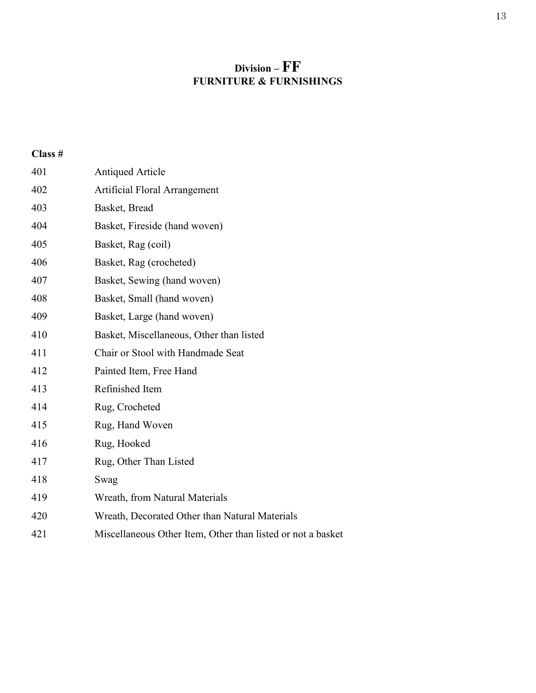# **Division – FF FURNITURE & FURNISHINGS**

| 401 | <b>Antiqued Article</b>                                     |
|-----|-------------------------------------------------------------|
| 402 | Artificial Floral Arrangement                               |
| 403 | Basket, Bread                                               |
| 404 | Basket, Fireside (hand woven)                               |
| 405 | Basket, Rag (coil)                                          |
| 406 | Basket, Rag (crocheted)                                     |
| 407 | Basket, Sewing (hand woven)                                 |
| 408 | Basket, Small (hand woven)                                  |
| 409 | Basket, Large (hand woven)                                  |
| 410 | Basket, Miscellaneous, Other than listed                    |
| 411 | Chair or Stool with Handmade Seat                           |
| 412 | Painted Item, Free Hand                                     |
| 413 | Refinished Item                                             |
| 414 | Rug, Crocheted                                              |
| 415 | Rug, Hand Woven                                             |
| 416 | Rug, Hooked                                                 |
| 417 | Rug, Other Than Listed                                      |
| 418 | Swag                                                        |
| 419 | Wreath, from Natural Materials                              |
| 420 | Wreath, Decorated Other than Natural Materials              |
| 421 | Miscellaneous Other Item, Other than listed or not a basket |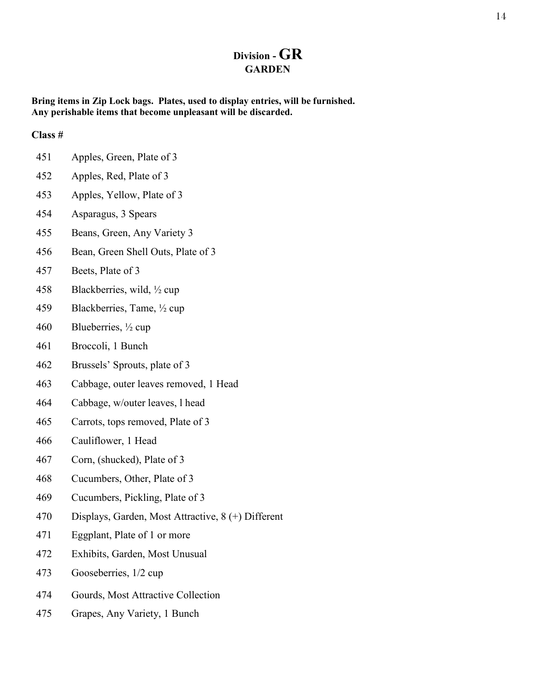# **Division - GR GARDEN**

**Bring items in Zip Lock bags. Plates, used to display entries, will be furnished. Any perishable items that become unpleasant will be discarded.**

- Apples, Green, Plate of 3
- Apples, Red, Plate of 3
- Apples, Yellow, Plate of 3
- Asparagus, 3 Spears
- Beans, Green, Any Variety 3
- Bean, Green Shell Outs, Plate of 3
- Beets, Plate of 3
- Blackberries, wild, ½ cup
- Blackberries, Tame, ½ cup
- Blueberries, ½ cup
- Broccoli, 1 Bunch
- Brussels' Sprouts, plate of 3
- Cabbage, outer leaves removed, 1 Head
- Cabbage, w/outer leaves, l head
- Carrots, tops removed, Plate of 3
- Cauliflower, 1 Head
- Corn, (shucked), Plate of 3
- Cucumbers, Other, Plate of 3
- Cucumbers, Pickling, Plate of 3
- Displays, Garden, Most Attractive, 8 (+) Different
- Eggplant, Plate of 1 or more
- Exhibits, Garden, Most Unusual
- Gooseberries, 1/2 cup
- Gourds, Most Attractive Collection
- Grapes, Any Variety, 1 Bunch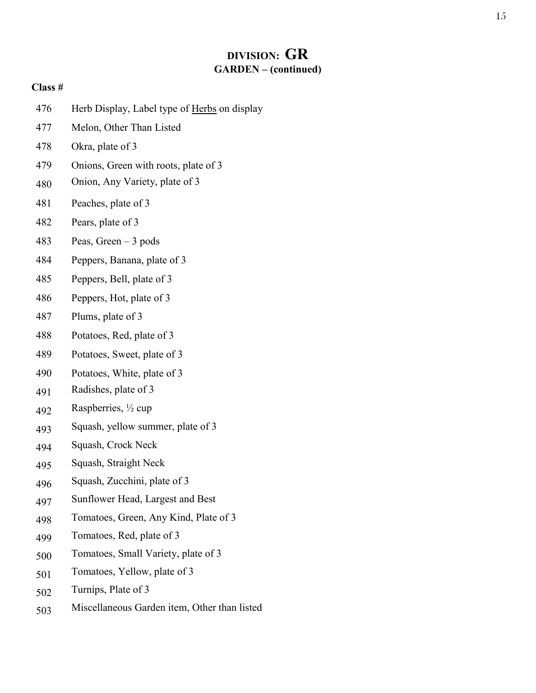# **DIVISION: GR GARDEN – (continued)**

| 476 | Herb Display, Label type of Herbs on display |
|-----|----------------------------------------------|
| 477 | Melon, Other Than Listed                     |
| 478 | Okra, plate of 3                             |
| 479 | Onions, Green with roots, plate of 3         |
| 480 | Onion, Any Variety, plate of 3               |
| 481 | Peaches, plate of 3                          |
| 482 | Pears, plate of 3                            |
| 483 | Peas, Green $-3$ pods                        |
| 484 | Peppers, Banana, plate of 3                  |
| 485 | Peppers, Bell, plate of 3                    |
| 486 | Peppers, Hot, plate of 3                     |
| 487 | Plums, plate of 3                            |
| 488 | Potatoes, Red, plate of 3                    |
| 489 | Potatoes, Sweet, plate of 3                  |
| 490 | Potatoes, White, plate of 3                  |
| 491 | Radishes, plate of 3                         |
| 492 | Raspberries, 1/2 cup                         |
| 493 | Squash, yellow summer, plate of 3            |
| 494 | Squash, Crock Neck                           |
| 495 | Squash, Straight Neck                        |
| 496 | Squash, Zucchini, plate of 3                 |
| 497 | Sunflower Head, Largest and Best             |
| 498 | Tomatoes, Green, Any Kind, Plate of 3        |
| 499 | Tomatoes, Red, plate of 3                    |
| 500 | Tomatoes, Small Variety, plate of 3          |
| 501 | Tomatoes, Yellow, plate of 3                 |
| 502 | Turnips, Plate of 3                          |
| 503 | Miscellaneous Garden item, Other than listed |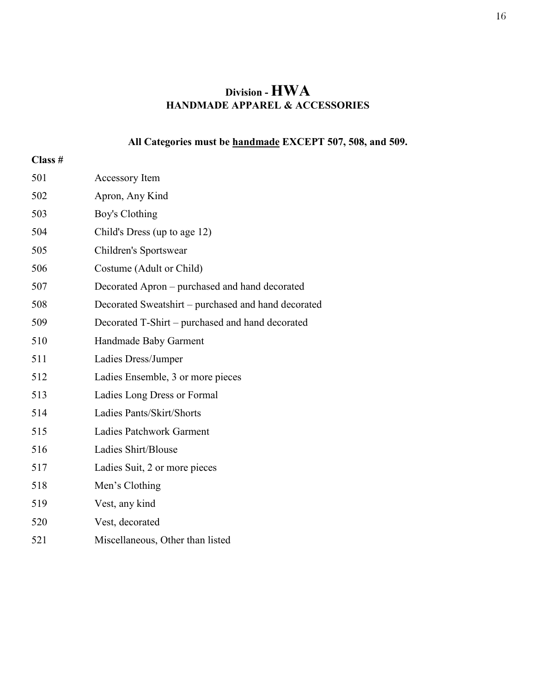# **Division - HWA HANDMADE APPAREL & ACCESSORIES**

# **All Categories must be handmade EXCEPT 507, 508, and 509.**

| 501 | <b>Accessory Item</b>                               |
|-----|-----------------------------------------------------|
| 502 | Apron, Any Kind                                     |
| 503 | Boy's Clothing                                      |
| 504 | Child's Dress (up to age 12)                        |
| 505 | Children's Sportswear                               |
| 506 | Costume (Adult or Child)                            |
| 507 | Decorated Apron - purchased and hand decorated      |
| 508 | Decorated Sweatshirt – purchased and hand decorated |
| 509 | Decorated T-Shirt – purchased and hand decorated    |
| 510 | Handmade Baby Garment                               |
| 511 | Ladies Dress/Jumper                                 |
| 512 | Ladies Ensemble, 3 or more pieces                   |
| 513 | Ladies Long Dress or Formal                         |
| 514 | Ladies Pants/Skirt/Shorts                           |
| 515 | <b>Ladies Patchwork Garment</b>                     |
| 516 | Ladies Shirt/Blouse                                 |
| 517 | Ladies Suit, 2 or more pieces                       |
| 518 | Men's Clothing                                      |
| 519 | Vest, any kind                                      |
| 520 | Vest, decorated                                     |
| 521 | Miscellaneous, Other than listed                    |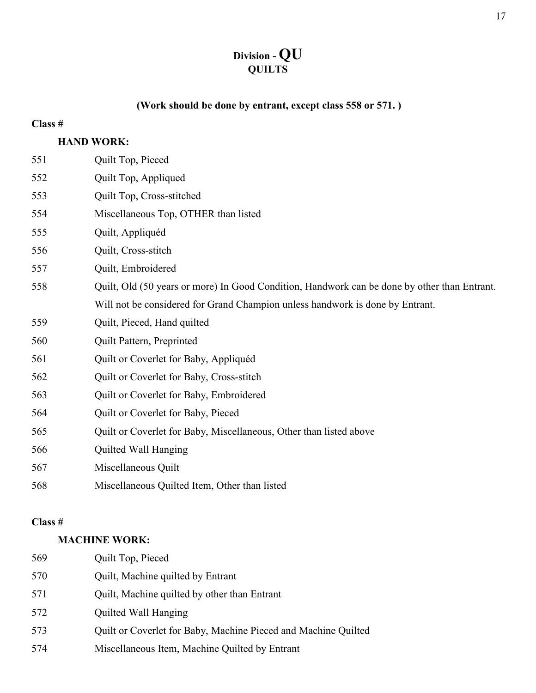# **Division - QU QUILTS**

# **(Work should be done by entrant, except class 558 or 571. )**

### **Class #**

# **HAND WORK:**

| 551 | Quilt Top, Pieced                                                                            |
|-----|----------------------------------------------------------------------------------------------|
| 552 | Quilt Top, Appliqued                                                                         |
| 553 | Quilt Top, Cross-stitched                                                                    |
| 554 | Miscellaneous Top, OTHER than listed                                                         |
| 555 | Quilt, Appliquéd                                                                             |
| 556 | Quilt, Cross-stitch                                                                          |
| 557 | Quilt, Embroidered                                                                           |
| 558 | Quilt, Old (50 years or more) In Good Condition, Handwork can be done by other than Entrant. |
|     | Will not be considered for Grand Champion unless handwork is done by Entrant.                |
| 559 | Quilt, Pieced, Hand quilted                                                                  |
| 560 | Quilt Pattern, Preprinted                                                                    |
| 561 | Quilt or Coverlet for Baby, Appliquéd                                                        |
| 562 | Quilt or Coverlet for Baby, Cross-stitch                                                     |
| 563 | Quilt or Coverlet for Baby, Embroidered                                                      |
| 564 | Quilt or Coverlet for Baby, Pieced                                                           |
| 565 | Quilt or Coverlet for Baby, Miscellaneous, Other than listed above                           |
| 566 | Quilted Wall Hanging                                                                         |
| 567 | Miscellaneous Quilt                                                                          |
| 568 | Miscellaneous Quilted Item, Other than listed                                                |
|     |                                                                                              |

### **Class #**

# **MACHINE WORK:**

| 569 | Quilt Top, Pieced                                              |
|-----|----------------------------------------------------------------|
| 570 | Quilt, Machine quilted by Entrant                              |
| 571 | Quilt, Machine quilted by other than Entrant                   |
| 572 | Quilted Wall Hanging                                           |
| 573 | Quilt or Coverlet for Baby, Machine Pieced and Machine Quilted |
| 574 | Miscellaneous Item, Machine Quilted by Entrant                 |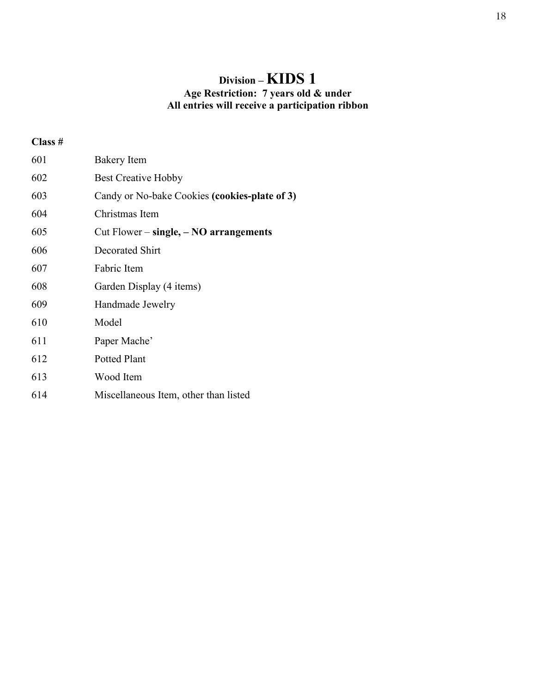# **Division – KIDS 1 Age Restriction: 7 years old & under All entries will receive a participation ribbon**

| 601 | <b>Bakery Item</b>                            |
|-----|-----------------------------------------------|
| 602 | <b>Best Creative Hobby</b>                    |
| 603 | Candy or No-bake Cookies (cookies-plate of 3) |
| 604 | Christmas Item                                |
| 605 | Cut Flower $-$ single, $-$ NO arrangements    |
| 606 | Decorated Shirt                               |
| 607 | Fabric Item                                   |
| 608 | Garden Display (4 items)                      |
| 609 | Handmade Jewelry                              |
| 610 | Model                                         |
| 611 | Paper Mache'                                  |
| 612 | Potted Plant                                  |
| 613 | Wood Item                                     |
| 614 | Miscellaneous Item, other than listed         |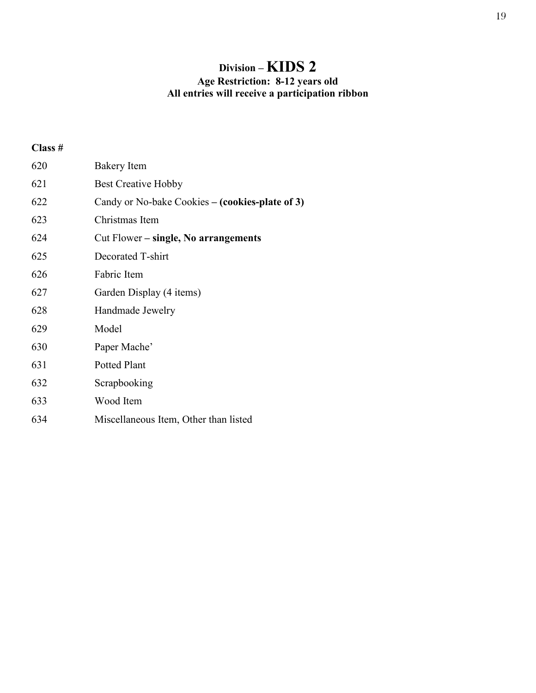# **Division – KIDS 2**

#### **Age Restriction: 8-12 years old All entries will receive a participation ribbon**

| 620 | <b>Bakery Item</b>                              |
|-----|-------------------------------------------------|
| 621 | <b>Best Creative Hobby</b>                      |
| 622 | Candy or No-bake Cookies – (cookies-plate of 3) |
| 623 | Christmas Item                                  |
| 624 | Cut Flower – single, No arrangements            |
| 625 | Decorated T-shirt                               |
| 626 | Fabric Item                                     |
| 627 | Garden Display (4 items)                        |
| 628 | Handmade Jewelry                                |
| 629 | Model                                           |
| 630 | Paper Mache'                                    |
| 631 | <b>Potted Plant</b>                             |
| 632 | Scrapbooking                                    |
| 633 | Wood Item                                       |
| 634 | Miscellaneous Item, Other than listed           |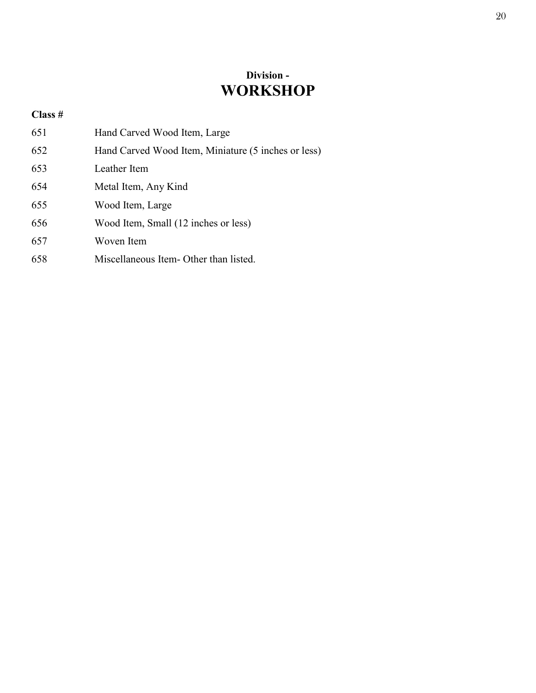# **Division - WORKSHOP**

| 651 | Hand Carved Wood Item, Large                        |
|-----|-----------------------------------------------------|
| 652 | Hand Carved Wood Item, Miniature (5 inches or less) |
| 653 | Leather Item                                        |
| 654 | Metal Item, Any Kind                                |
| 655 | Wood Item, Large                                    |
| 656 | Wood Item, Small (12 inches or less)                |
| 657 | Woven Item                                          |
| 658 | Miscellaneous Item - Other than listed.             |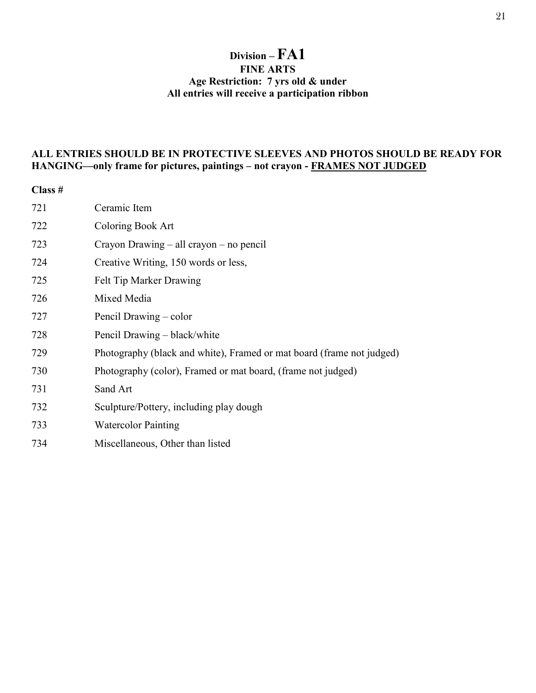### **Division – FA1 FINE ARTS Age Restriction: 7 yrs old & under All entries will receive a participation ribbon**

#### **ALL ENTRIES SHOULD BE IN PROTECTIVE SLEEVES AND PHOTOS SHOULD BE READY FOR HANGING—only frame for pictures, paintings – not crayon - FRAMES NOT JUDGED**

| Class # |                                                                       |
|---------|-----------------------------------------------------------------------|
| 721     | Ceramic Item                                                          |
| 722     | Coloring Book Art                                                     |
| 723     | Crayon Drawing – all crayon – no pencil                               |
| 724     | Creative Writing, 150 words or less,                                  |
| 725     | Felt Tip Marker Drawing                                               |
| 726     | Mixed Media                                                           |
| 727     | Pencil Drawing – color                                                |
| 728     | Pencil Drawing – black/white                                          |
| 729     | Photography (black and white), Framed or mat board (frame not judged) |
| 730     | Photography (color), Framed or mat board, (frame not judged)          |
| 731     | Sand Art                                                              |
| 732     | Sculpture/Pottery, including play dough                               |
| 733     | <b>Watercolor Painting</b>                                            |
| 734     | Miscellaneous, Other than listed                                      |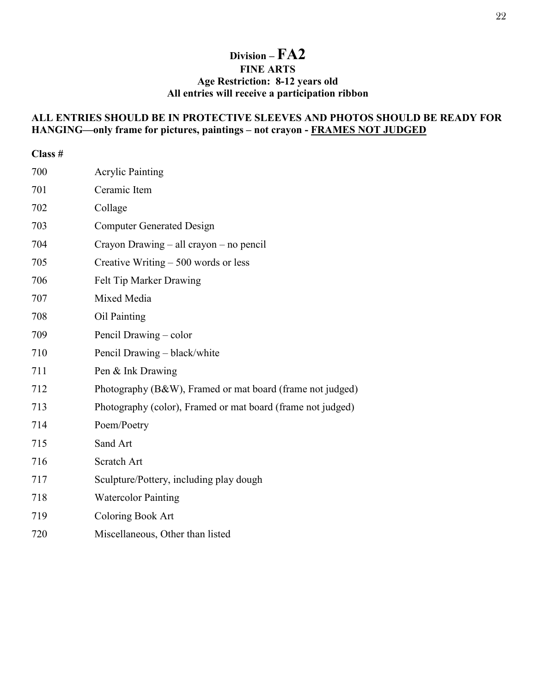### **Division – FA2 FINE ARTS Age Restriction: 8-12 years old All entries will receive a participation ribbon**

### **ALL ENTRIES SHOULD BE IN PROTECTIVE SLEEVES AND PHOTOS SHOULD BE READY FOR HANGING—only frame for pictures, paintings – not crayon - FRAMES NOT JUDGED**

| Class # |                                                             |
|---------|-------------------------------------------------------------|
| 700     | <b>Acrylic Painting</b>                                     |
| 701     | Ceramic Item                                                |
| 702     | Collage                                                     |
| 703     | <b>Computer Generated Design</b>                            |
| 704     | Crayon Drawing – all crayon – no pencil                     |
| 705     | Creative Writing $-500$ words or less                       |
| 706     | Felt Tip Marker Drawing                                     |
| 707     | Mixed Media                                                 |
| 708     | Oil Painting                                                |
| 709     | Pencil Drawing – color                                      |
| 710     | Pencil Drawing - black/white                                |
| 711     | Pen & Ink Drawing                                           |
| 712     | Photography (B&W), Framed or mat board (frame not judged)   |
| 713     | Photography (color), Framed or mat board (frame not judged) |
| 714     | Poem/Poetry                                                 |
| 715     | Sand Art                                                    |
| 716     | Scratch Art                                                 |
| 717     | Sculpture/Pottery, including play dough                     |
| 718     | <b>Watercolor Painting</b>                                  |
| 719     | Coloring Book Art                                           |
| 720     | Miscellaneous, Other than listed                            |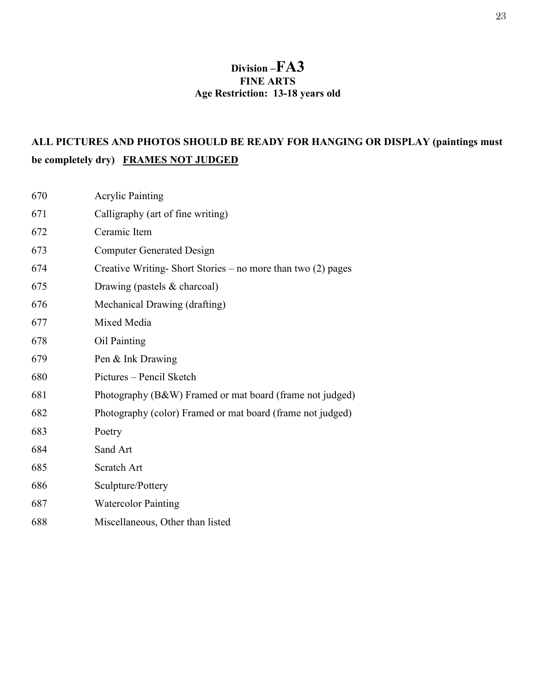# **Division –FA3 FINE ARTS Age Restriction: 13-18 years old**

# **ALL PICTURES AND PHOTOS SHOULD BE READY FOR HANGING OR DISPLAY (paintings must be completely dry) FRAMES NOT JUDGED**

| 670 | <b>Acrylic Painting</b>                                       |
|-----|---------------------------------------------------------------|
| 671 | Calligraphy (art of fine writing)                             |
| 672 | Ceramic Item                                                  |
| 673 | <b>Computer Generated Design</b>                              |
| 674 | Creative Writing-Short Stories – no more than two $(2)$ pages |
| 675 | Drawing (pastels & charcoal)                                  |
| 676 | Mechanical Drawing (drafting)                                 |
| 677 | Mixed Media                                                   |
| 678 | Oil Painting                                                  |
| 679 | Pen & Ink Drawing                                             |
| 680 | Pictures - Pencil Sketch                                      |
| 681 | Photography (B&W) Framed or mat board (frame not judged)      |
| 682 | Photography (color) Framed or mat board (frame not judged)    |
| 683 | Poetry                                                        |
| 684 | Sand Art                                                      |
| 685 | Scratch Art                                                   |
| 686 | Sculpture/Pottery                                             |
| 687 | <b>Watercolor Painting</b>                                    |
| 688 | Miscellaneous, Other than listed                              |
|     |                                                               |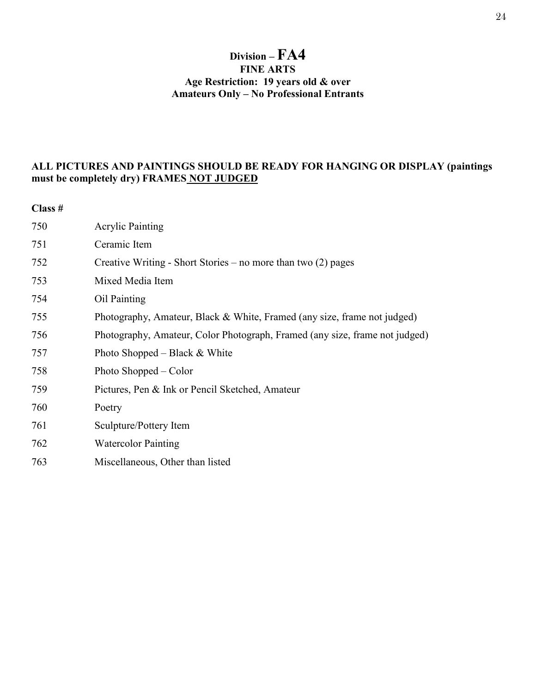### **Division – FA4 FINE ARTS Age Restriction: 19 years old & over Amateurs Only – No Professional Entrants**

### **ALL PICTURES AND PAINTINGS SHOULD BE READY FOR HANGING OR DISPLAY (paintings must be completely dry) FRAMES NOT JUDGED**

| 750 | <b>Acrylic Painting</b>                                                     |
|-----|-----------------------------------------------------------------------------|
| 751 | Ceramic Item                                                                |
| 752 | Creative Writing - Short Stories – no more than two $(2)$ pages             |
| 753 | Mixed Media Item                                                            |
| 754 | Oil Painting                                                                |
| 755 | Photography, Amateur, Black & White, Framed (any size, frame not judged)    |
| 756 | Photography, Amateur, Color Photograph, Framed (any size, frame not judged) |
| 757 | Photo Shopped – Black $&$ White                                             |
| 758 | Photo Shopped – Color                                                       |
| 759 | Pictures, Pen & Ink or Pencil Sketched, Amateur                             |
| 760 | Poetry                                                                      |
| 761 | Sculpture/Pottery Item                                                      |
| 762 | <b>Watercolor Painting</b>                                                  |
| 763 | Miscellaneous, Other than listed                                            |